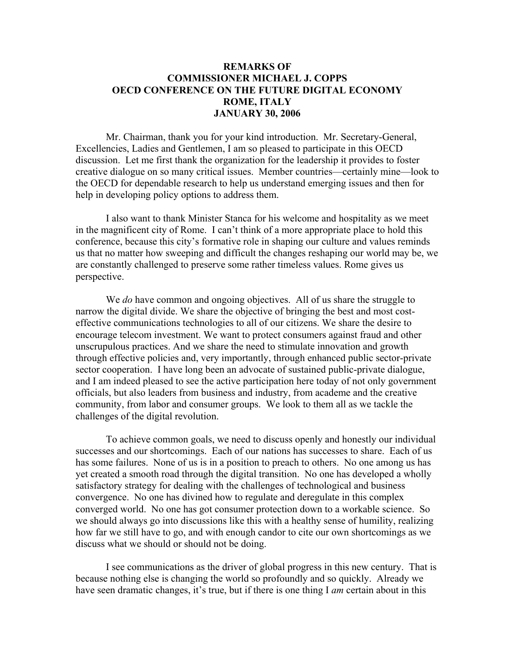## **REMARKS OF COMMISSIONER MICHAEL J. COPPS OECD CONFERENCE ON THE FUTURE DIGITAL ECONOMY ROME, ITALY JANUARY 30, 2006**

Mr. Chairman, thank you for your kind introduction. Mr. Secretary-General, Excellencies, Ladies and Gentlemen, I am so pleased to participate in this OECD discussion. Let me first thank the organization for the leadership it provides to foster creative dialogue on so many critical issues. Member countries—certainly mine—look to the OECD for dependable research to help us understand emerging issues and then for help in developing policy options to address them.

I also want to thank Minister Stanca for his welcome and hospitality as we meet in the magnificent city of Rome. I can't think of a more appropriate place to hold this conference, because this city's formative role in shaping our culture and values reminds us that no matter how sweeping and difficult the changes reshaping our world may be, we are constantly challenged to preserve some rather timeless values. Rome gives us perspective.

We *do* have common and ongoing objectives. All of us share the struggle to narrow the digital divide. We share the objective of bringing the best and most costeffective communications technologies to all of our citizens. We share the desire to encourage telecom investment. We want to protect consumers against fraud and other unscrupulous practices. And we share the need to stimulate innovation and growth through effective policies and, very importantly, through enhanced public sector-private sector cooperation. I have long been an advocate of sustained public-private dialogue, and I am indeed pleased to see the active participation here today of not only government officials, but also leaders from business and industry, from academe and the creative community, from labor and consumer groups. We look to them all as we tackle the challenges of the digital revolution.

To achieve common goals, we need to discuss openly and honestly our individual successes and our shortcomings. Each of our nations has successes to share. Each of us has some failures. None of us is in a position to preach to others. No one among us has yet created a smooth road through the digital transition. No one has developed a wholly satisfactory strategy for dealing with the challenges of technological and business convergence. No one has divined how to regulate and deregulate in this complex converged world. No one has got consumer protection down to a workable science. So we should always go into discussions like this with a healthy sense of humility, realizing how far we still have to go, and with enough candor to cite our own shortcomings as we discuss what we should or should not be doing.

I see communications as the driver of global progress in this new century. That is because nothing else is changing the world so profoundly and so quickly. Already we have seen dramatic changes, it's true, but if there is one thing I *am* certain about in this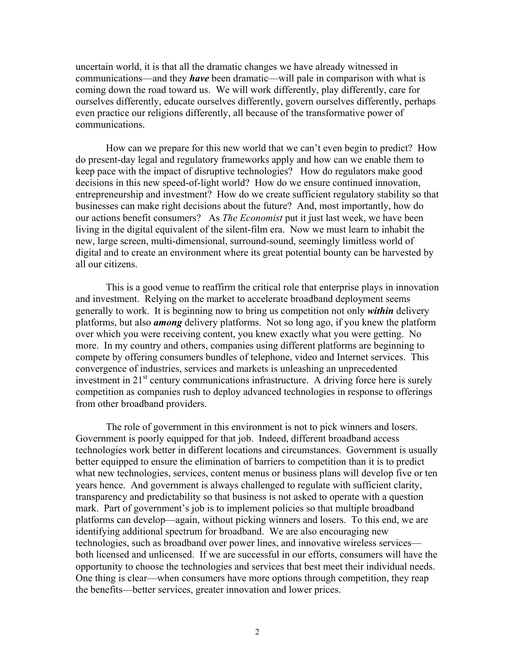uncertain world, it is that all the dramatic changes we have already witnessed in communications—and they *have* been dramatic—will pale in comparison with what is coming down the road toward us. We will work differently, play differently, care for ourselves differently, educate ourselves differently, govern ourselves differently, perhaps even practice our religions differently, all because of the transformative power of communications.

How can we prepare for this new world that we can't even begin to predict? How do present-day legal and regulatory frameworks apply and how can we enable them to keep pace with the impact of disruptive technologies? How do regulators make good decisions in this new speed-of-light world? How do we ensure continued innovation, entrepreneurship and investment? How do we create sufficient regulatory stability so that businesses can make right decisions about the future? And, most importantly, how do our actions benefit consumers? As *The Economist* put it just last week, we have been living in the digital equivalent of the silent-film era. Now we must learn to inhabit the new, large screen, multi-dimensional, surround-sound, seemingly limitless world of digital and to create an environment where its great potential bounty can be harvested by all our citizens.

This is a good venue to reaffirm the critical role that enterprise plays in innovation and investment. Relying on the market to accelerate broadband deployment seems generally to work. It is beginning now to bring us competition not only *within* delivery platforms, but also *among* delivery platforms. Not so long ago, if you knew the platform over which you were receiving content, you knew exactly what you were getting. No more. In my country and others, companies using different platforms are beginning to compete by offering consumers bundles of telephone, video and Internet services. This convergence of industries, services and markets is unleashing an unprecedented investment in 21<sup>st</sup> century communications infrastructure. A driving force here is surely competition as companies rush to deploy advanced technologies in response to offerings from other broadband providers.

The role of government in this environment is not to pick winners and losers. Government is poorly equipped for that job. Indeed, different broadband access technologies work better in different locations and circumstances. Government is usually better equipped to ensure the elimination of barriers to competition than it is to predict what new technologies, services, content menus or business plans will develop five or ten years hence. And government is always challenged to regulate with sufficient clarity, transparency and predictability so that business is not asked to operate with a question mark. Part of government's job is to implement policies so that multiple broadband platforms can develop—again, without picking winners and losers. To this end, we are identifying additional spectrum for broadband. We are also encouraging new technologies, such as broadband over power lines, and innovative wireless services both licensed and unlicensed. If we are successful in our efforts, consumers will have the opportunity to choose the technologies and services that best meet their individual needs. One thing is clear—when consumers have more options through competition, they reap the benefits—better services, greater innovation and lower prices.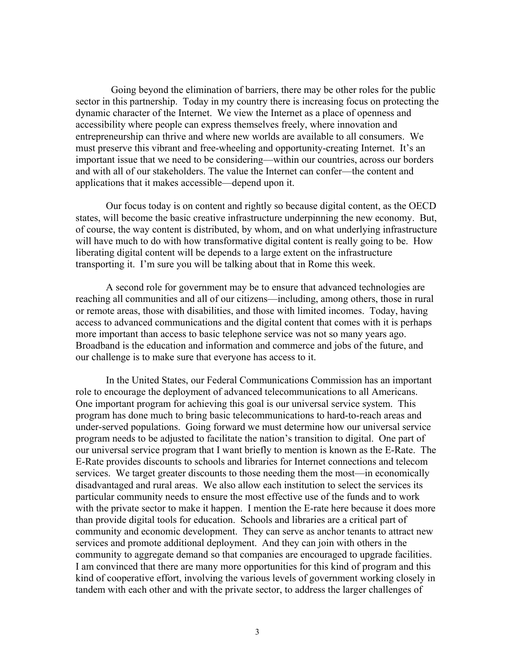Going beyond the elimination of barriers, there may be other roles for the public sector in this partnership. Today in my country there is increasing focus on protecting the dynamic character of the Internet. We view the Internet as a place of openness and accessibility where people can express themselves freely, where innovation and entrepreneurship can thrive and where new worlds are available to all consumers. We must preserve this vibrant and free-wheeling and opportunity-creating Internet. It's an important issue that we need to be considering—within our countries, across our borders and with all of our stakeholders. The value the Internet can confer—the content and applications that it makes accessible—depend upon it.

Our focus today is on content and rightly so because digital content, as the OECD states, will become the basic creative infrastructure underpinning the new economy. But, of course, the way content is distributed, by whom, and on what underlying infrastructure will have much to do with how transformative digital content is really going to be. How liberating digital content will be depends to a large extent on the infrastructure transporting it. I'm sure you will be talking about that in Rome this week.

A second role for government may be to ensure that advanced technologies are reaching all communities and all of our citizens—including, among others, those in rural or remote areas, those with disabilities, and those with limited incomes. Today, having access to advanced communications and the digital content that comes with it is perhaps more important than access to basic telephone service was not so many years ago. Broadband is the education and information and commerce and jobs of the future, and our challenge is to make sure that everyone has access to it.

In the United States, our Federal Communications Commission has an important role to encourage the deployment of advanced telecommunications to all Americans. One important program for achieving this goal is our universal service system. This program has done much to bring basic telecommunications to hard-to-reach areas and under-served populations. Going forward we must determine how our universal service program needs to be adjusted to facilitate the nation's transition to digital. One part of our universal service program that I want briefly to mention is known as the E-Rate. The E-Rate provides discounts to schools and libraries for Internet connections and telecom services. We target greater discounts to those needing them the most—in economically disadvantaged and rural areas. We also allow each institution to select the services its particular community needs to ensure the most effective use of the funds and to work with the private sector to make it happen. I mention the E-rate here because it does more than provide digital tools for education. Schools and libraries are a critical part of community and economic development. They can serve as anchor tenants to attract new services and promote additional deployment. And they can join with others in the community to aggregate demand so that companies are encouraged to upgrade facilities. I am convinced that there are many more opportunities for this kind of program and this kind of cooperative effort, involving the various levels of government working closely in tandem with each other and with the private sector, to address the larger challenges of